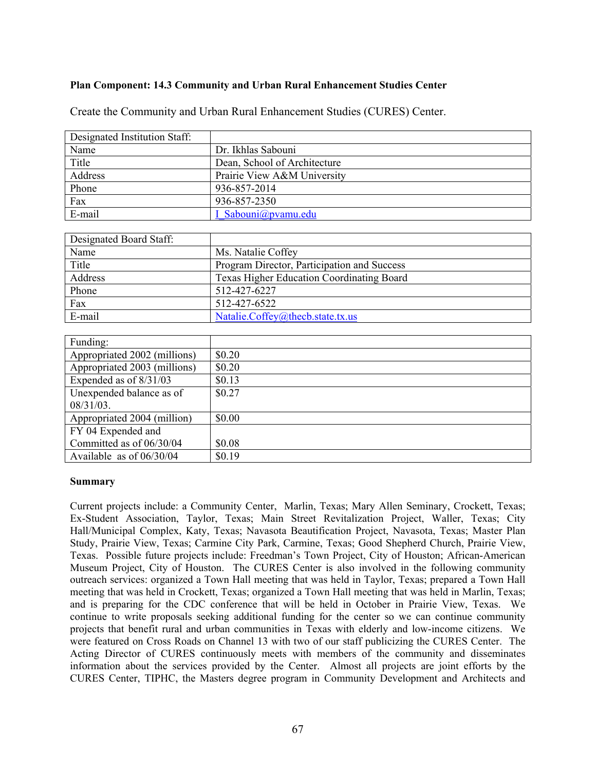## **Plan Component: 14.3 Community and Urban Rural Enhancement Studies Center**

Create the Community and Urban Rural Enhancement Studies (CURES) Center.

| Designated Institution Staff: |                              |  |
|-------------------------------|------------------------------|--|
| Name                          | Dr. Ikhlas Sabouni           |  |
| Title                         | Dean, School of Architecture |  |
| Address                       | Prairie View A&M University  |  |
| Phone                         | 936-857-2014                 |  |
| Fax                           | 936-857-2350                 |  |
| E-mail                        | I Sabouni@pvamu.edu          |  |

| Designated Board Staff: |                                             |
|-------------------------|---------------------------------------------|
| Name                    | Ms. Natalie Coffey                          |
| Title                   | Program Director, Participation and Success |
| Address                 | Texas Higher Education Coordinating Board   |
| Phone                   | 512-427-6227                                |
| Fax                     | 512-427-6522                                |
| E-mail                  | Natalie.Coffey@thecb.state.tx.us            |

| Funding:                     |        |
|------------------------------|--------|
| Appropriated 2002 (millions) | \$0.20 |
| Appropriated 2003 (millions) | \$0.20 |
| Expended as of $8/31/03$     | \$0.13 |
| Unexpended balance as of     | \$0.27 |
| $08/31/03$ .                 |        |
| Appropriated 2004 (million)  | \$0.00 |
| FY 04 Expended and           |        |
| Committed as of 06/30/04     | \$0.08 |
| Available as of $06/30/04$   | \$0.19 |

## **Summary**

Current projects include: a Community Center, Marlin, Texas; Mary Allen Seminary, Crockett, Texas; Ex-Student Association, Taylor, Texas; Main Street Revitalization Project, Waller, Texas; City Hall/Municipal Complex, Katy, Texas; Navasota Beautification Project, Navasota, Texas; Master Plan Study, Prairie View, Texas; Carmine City Park, Carmine, Texas; Good Shepherd Church, Prairie View, Texas. Possible future projects include: Freedman's Town Project, City of Houston; African-American Museum Project, City of Houston. The CURES Center is also involved in the following community outreach services: organized a Town Hall meeting that was held in Taylor, Texas; prepared a Town Hall meeting that was held in Crockett, Texas; organized a Town Hall meeting that was held in Marlin, Texas; and is preparing for the CDC conference that will be held in October in Prairie View, Texas. We continue to write proposals seeking additional funding for the center so we can continue community projects that benefit rural and urban communities in Texas with elderly and low-income citizens. We were featured on Cross Roads on Channel 13 with two of our staff publicizing the CURES Center. The Acting Director of CURES continuously meets with members of the community and disseminates information about the services provided by the Center. Almost all projects are joint efforts by the CURES Center, TIPHC, the Masters degree program in Community Development and Architects and